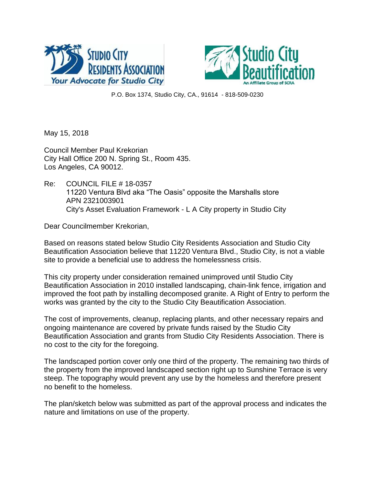



P.O. Box 1374, Studio City, CA., 91614 - 818-509-0230

May 15, 2018

Council Member Paul Krekorian City Hall Office 200 N. Spring St., Room 435. Los Angeles, CA 90012.

Re: COUNCIL FILE # 18-0357 11220 Ventura Blvd aka "The Oasis" opposite the Marshalls store APN 2321003901 City's Asset Evaluation Framework - L A City property in Studio City

Dear Councilmember Krekorian,

Based on reasons stated below Studio City Residents Association and Studio City Beautification Association believe that 11220 Ventura Blvd., Studio City, is not a viable site to provide a beneficial use to address the homelessness crisis.

This city property under consideration remained unimproved until Studio City Beautification Association in 2010 installed landscaping, chain-link fence, irrigation and improved the foot path by installing decomposed granite. A Right of Entry to perform the works was granted by the city to the Studio City Beautification Association.

The cost of improvements, cleanup, replacing plants, and other necessary repairs and ongoing maintenance are covered by private funds raised by the Studio City Beautification Association and grants from Studio City Residents Association. There is no cost to the city for the foregoing.

The landscaped portion cover only one third of the property. The remaining two thirds of the property from the improved landscaped section right up to Sunshine Terrace is very steep. The topography would prevent any use by the homeless and therefore present no benefit to the homeless.

The plan/sketch below was submitted as part of the approval process and indicates the nature and limitations on use of the property.